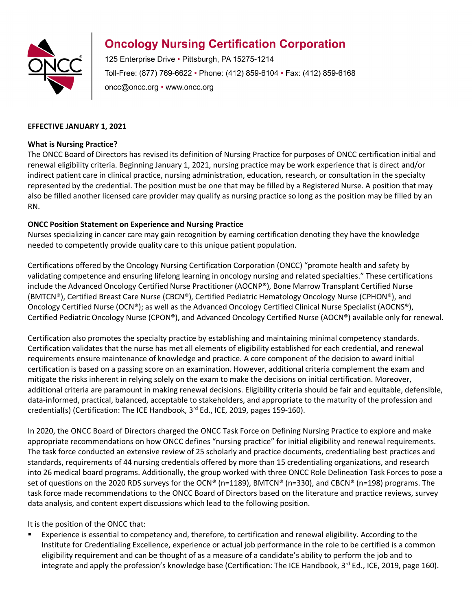

## **Oncology Nursing Certification Corporation**

125 Enterprise Drive · Pittsburgh, PA 15275-1214 Toll-Free: (877) 769-6622 • Phone: (412) 859-6104 • Fax: (412) 859-6168 oncc@oncc.org • www.oncc.org

## **EFFECTIVE JANUARY 1, 2021**

#### **What is Nursing Practice?**

The ONCC Board of Directors has revised its definition of Nursing Practice for purposes of ONCC certification initial and renewal eligibility criteria. Beginning January 1, 2021, nursing practice may be work experience that is direct and/or indirect patient care in clinical practice, nursing administration, education, research, or consultation in the specialty represented by the credential. The position must be one that may be filled by a Registered Nurse. A position that may also be filled another licensed care provider may qualify as nursing practice so long as the position may be filled by an RN.

## **ONCC Position Statement on Experience and Nursing Practice**

Nurses specializing in cancer care may gain recognition by earning certification denoting they have the knowledge needed to competently provide quality care to this unique patient population.

Certifications offered by the Oncology Nursing Certification Corporation (ONCC) "promote health and safety by validating competence and ensuring lifelong learning in oncology nursing and related specialties." These certifications include the Advanced Oncology Certified Nurse Practitioner (AOCNP®), Bone Marrow Transplant Certified Nurse (BMTCN®), Certified Breast Care Nurse (CBCN®), Certified Pediatric Hematology Oncology Nurse (CPHON®), and Oncology Certified Nurse (OCN®); as well as the Advanced Oncology Certified Clinical Nurse Specialist (AOCNS®), Certified Pediatric Oncology Nurse (CPON®), and Advanced Oncology Certified Nurse (AOCN®) available only for renewal.

Certification also promotes the specialty practice by establishing and maintaining minimal competency standards. Certification validates that the nurse has met all elements of eligibility established for each credential, and renewal requirements ensure maintenance of knowledge and practice. A core component of the decision to award initial certification is based on a passing score on an examination. However, additional criteria complement the exam and mitigate the risks inherent in relying solely on the exam to make the decisions on initial certification. Moreover, additional criteria are paramount in making renewal decisions. Eligibility criteria should be fair and equitable, defensible, data-informed, practical, balanced, acceptable to stakeholders, and appropriate to the maturity of the profession and credential(s) (Certification: The ICE Handbook, 3<sup>rd</sup> Ed., ICE, 2019, pages 159-160).

In 2020, the ONCC Board of Directors charged the ONCC Task Force on Defining Nursing Practice to explore and make appropriate recommendations on how ONCC defines "nursing practice" for initial eligibility and renewal requirements. The task force conducted an extensive review of 25 scholarly and practice documents, credentialing best practices and standards, requirements of 44 nursing credentials offered by more than 15 credentialing organizations, and research into 26 medical board programs. Additionally, the group worked with three ONCC Role Delineation Task Forces to pose a set of questions on the 2020 RDS surveys for the OCN® (n=1189), BMTCN® (n=330), and CBCN® (n=198) programs. The task force made recommendations to the ONCC Board of Directors based on the literature and practice reviews, survey data analysis, and content expert discussions which lead to the following position.

It is the position of the ONCC that:

 Experience is essential to competency and, therefore, to certification and renewal eligibility. According to the Institute for Credentialing Excellence, experience or actual job performance in the role to be certified is a common eligibility requirement and can be thought of as a measure of a candidate's ability to perform the job and to integrate and apply the profession's knowledge base (Certification: The ICE Handbook, 3<sup>rd</sup> Ed., ICE, 2019, page 160).